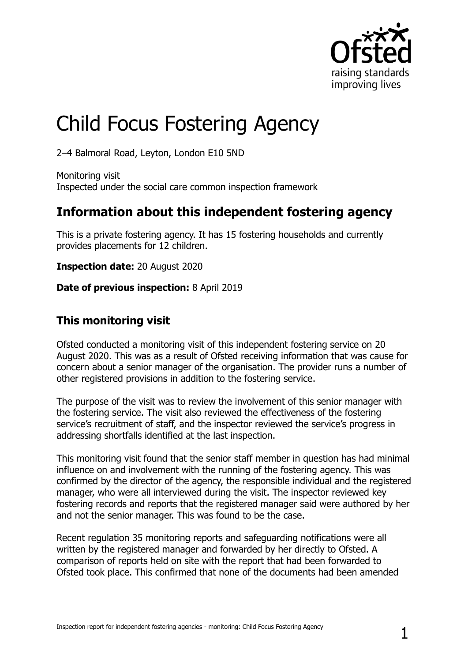

# Child Focus Fostering Agency

2‒4 Balmoral Road, Leyton, London E10 5ND

Monitoring visit Inspected under the social care common inspection framework

## **Information about this independent fostering agency**

This is a private fostering agency. It has 15 fostering households and currently provides placements for 12 children.

**Inspection date:** 20 August 2020

**Date of previous inspection:** 8 April 2019

### **This monitoring visit**

Ofsted conducted a monitoring visit of this independent fostering service on 20 August 2020. This was as a result of Ofsted receiving information that was cause for concern about a senior manager of the organisation. The provider runs a number of other registered provisions in addition to the fostering service.

The purpose of the visit was to review the involvement of this senior manager with the fostering service. The visit also reviewed the effectiveness of the fostering service's recruitment of staff, and the inspector reviewed the service's progress in addressing shortfalls identified at the last inspection.

This monitoring visit found that the senior staff member in question has had minimal influence on and involvement with the running of the fostering agency. This was confirmed by the director of the agency, the responsible individual and the registered manager, who were all interviewed during the visit. The inspector reviewed key fostering records and reports that the registered manager said were authored by her and not the senior manager. This was found to be the case.

Recent regulation 35 monitoring reports and safeguarding notifications were all written by the registered manager and forwarded by her directly to Ofsted. A comparison of reports held on site with the report that had been forwarded to Ofsted took place. This confirmed that none of the documents had been amended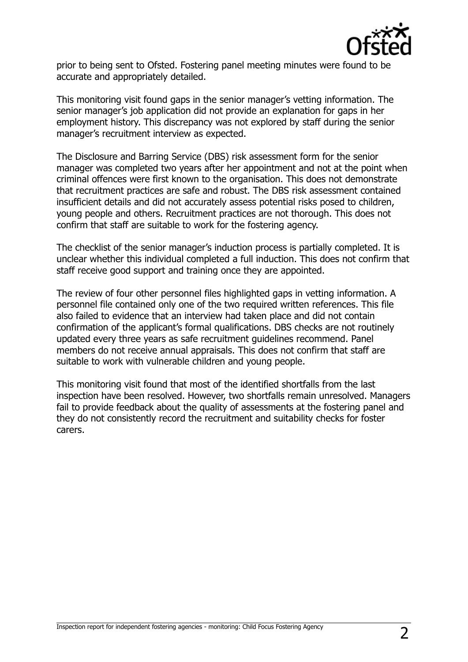

prior to being sent to Ofsted. Fostering panel meeting minutes were found to be accurate and appropriately detailed.

This monitoring visit found gaps in the senior manager's vetting information. The senior manager's job application did not provide an explanation for gaps in her employment history. This discrepancy was not explored by staff during the senior manager's recruitment interview as expected.

The Disclosure and Barring Service (DBS) risk assessment form for the senior manager was completed two years after her appointment and not at the point when criminal offences were first known to the organisation. This does not demonstrate that recruitment practices are safe and robust. The DBS risk assessment contained insufficient details and did not accurately assess potential risks posed to children, young people and others. Recruitment practices are not thorough. This does not confirm that staff are suitable to work for the fostering agency.

The checklist of the senior manager's induction process is partially completed. It is unclear whether this individual completed a full induction. This does not confirm that staff receive good support and training once they are appointed.

The review of four other personnel files highlighted gaps in vetting information. A personnel file contained only one of the two required written references. This file also failed to evidence that an interview had taken place and did not contain confirmation of the applicant's formal qualifications. DBS checks are not routinely updated every three years as safe recruitment guidelines recommend. Panel members do not receive annual appraisals. This does not confirm that staff are suitable to work with vulnerable children and young people.

This monitoring visit found that most of the identified shortfalls from the last inspection have been resolved. However, two shortfalls remain unresolved. Managers fail to provide feedback about the quality of assessments at the fostering panel and they do not consistently record the recruitment and suitability checks for foster carers.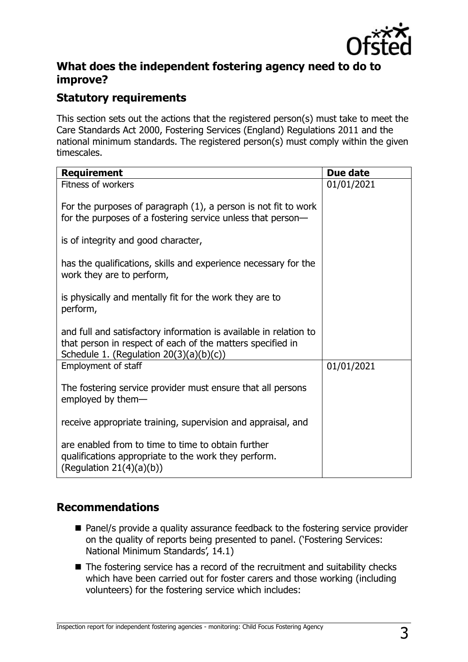

#### **What does the independent fostering agency need to do to improve?**

#### **Statutory requirements**

This section sets out the actions that the registered person(s) must take to meet the Care Standards Act 2000, Fostering Services (England) Regulations 2011 and the national minimum standards. The registered person(s) must comply within the given timescales.

| <b>Requirement</b>                                                                                                                                                            | Due date   |
|-------------------------------------------------------------------------------------------------------------------------------------------------------------------------------|------------|
| Fitness of workers                                                                                                                                                            | 01/01/2021 |
| For the purposes of paragraph $(1)$ , a person is not fit to work<br>for the purposes of a fostering service unless that person-                                              |            |
| is of integrity and good character,                                                                                                                                           |            |
| has the qualifications, skills and experience necessary for the<br>work they are to perform,                                                                                  |            |
| is physically and mentally fit for the work they are to<br>perform,                                                                                                           |            |
| and full and satisfactory information is available in relation to<br>that person in respect of each of the matters specified in<br>Schedule 1. (Regulation $20(3)(a)(b)(c)$ ) |            |
| Employment of staff                                                                                                                                                           | 01/01/2021 |
| The fostering service provider must ensure that all persons<br>employed by them-                                                                                              |            |
| receive appropriate training, supervision and appraisal, and                                                                                                                  |            |
| are enabled from to time to time to obtain further<br>qualifications appropriate to the work they perform.<br>(Regulation $21(4)(a)(b)$ )                                     |            |

### **Recommendations**

- Panel/s provide a quality assurance feedback to the fostering service provider on the quality of reports being presented to panel. ('Fostering Services: National Minimum Standards', 14.1)
- The fostering service has a record of the recruitment and suitability checks which have been carried out for foster carers and those working (including volunteers) for the fostering service which includes: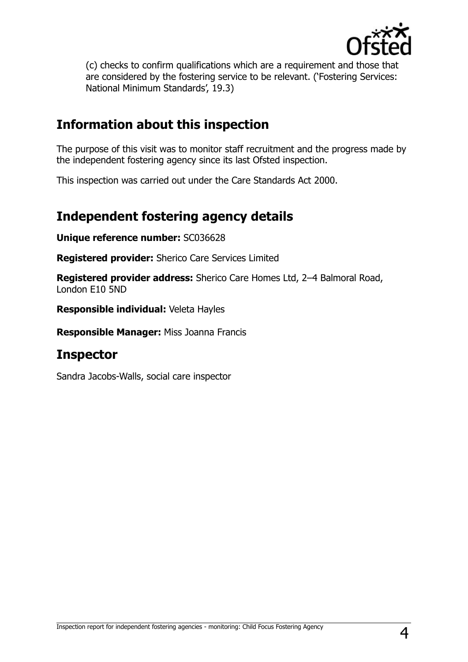

(c) checks to confirm qualifications which are a requirement and those that are considered by the fostering service to be relevant. ('Fostering Services: National Minimum Standards', 19.3)

## **Information about this inspection**

The purpose of this visit was to monitor staff recruitment and the progress made by the independent fostering agency since its last Ofsted inspection.

This inspection was carried out under the Care Standards Act 2000.

## **Independent fostering agency details**

**Unique reference number:** SC036628

**Registered provider:** Sherico Care Services Limited

**Registered provider address:** Sherico Care Homes Ltd, 2–4 Balmoral Road, London E10 5ND

**Responsible individual:** Veleta Hayles

**Responsible Manager:** Miss Joanna Francis

## **Inspector**

Sandra Jacobs-Walls, social care inspector